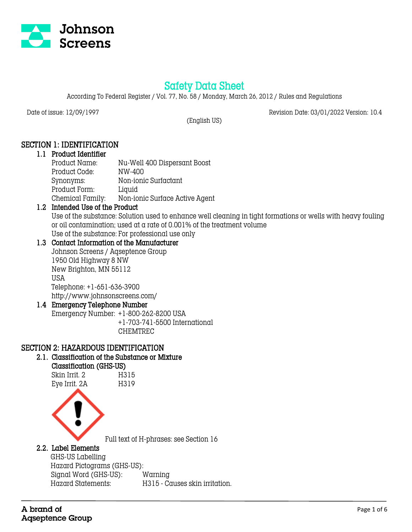

# Safety Data Sheet

According To Federal Register / Vol. 77, No. 58 / Monday, March 26, 2012 / Rules and Regulations

Date of issue: 12/09/1997 Revision Date: 03/01/2022 Version: 10.4

(English US)

## SECTION 1: IDENTIFICATION

#### 1.1 Product Identifier Product Name: Nu-Well 400 Dispersant Boost Product Code: NW-400 Synonyms: Non-ionic Surfactant

Product Form: Liquid

Chemical Family: Non-ionic Surface Active Agent

## 1.2 Intended Use of the Product

Use of the substance: Solution used to enhance well cleaning in tight formations or wells with heavy fouling or oil contamination; used at a rate of 0.001% of the treatment volume Use of the substance: For professional use only

### 1.3 Contact Information of the Manufacturer

Johnson Screens / Aqseptence Group 1950 Old Highway 8 NW New Brighton, MN 55112 USA Telephone: +1-651-636-3900 http://www.johnsonscreens.com/

## 1.4 Emergency Telephone Number

Emergency Number: +1-800-262-8200 USA +1-703-741-5500 International CHEMTREC

## SECTION 2: HAZARDOUS IDENTIFICATION

## 2.1. Classification of the Substance or Mixture

### Classification (GHS-US)

Skin Irrit. 2 H315 Eye Irrit. 2A H319



Full text of H-phrases: see Section 16

## 2.2. Label Elements

 GHS-US Labelling Hazard Pictograms (GHS-US): Signal Word (GHS-US): Warning Hazard Statements: H315 - Causes skin irritation.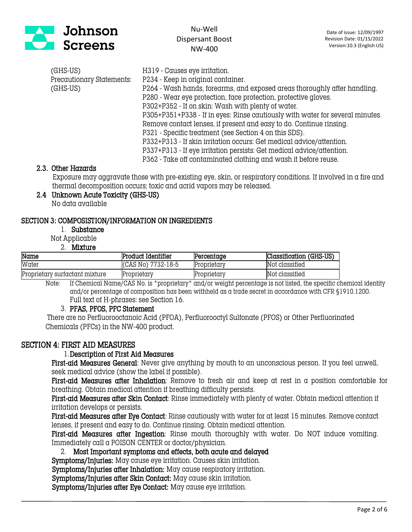

| (GHS-US)                  | H319 - Causes eye irritation.                                                 |
|---------------------------|-------------------------------------------------------------------------------|
| Precautionary Statements: | P234 - Keep in original container.                                            |
| $(GHS-US)$                | P264 - Wash hands, forearms, and exposed areas thoroughly after handling.     |
|                           | P280 - Wear eye protection, face protection, protective gloves.               |
|                           | P302+P352 - If on skin: Wash with plenty of water.                            |
|                           | P305+P351+P338 - If in eyes: Rinse cautiously with water for several minutes. |
|                           | Remove contact lenses, if present and easy to do. Continue rinsing.           |
|                           | P321 - Specific treatment (see Section 4 on this SDS).                        |
|                           | P332+P313 - If skin irritation occurs: Get medical advice/attention.          |
|                           | P337+P313 - If eye irritation persists: Get medical advice/attention.         |
|                           | P362 - Take off contaminated clothing and wash it before reuse.               |

#### 2.3. Other Hazards

 Exposure may aggravate those with pre-existing eye, skin, or respiratory conditions. If involved in a fire and thermal decomposition occurs; toxic and acrid vapors may be released.

#### 2.4 Unknown Acute Toxicity (GHS-US)

No data available

#### SECTION 3: COMPOSISTION/INFORMATION ON INGREDIENTS

1. Substance

Not Applicable

2. Mixture

| Name                           | Product Identifier | Percentage  | Classification (GHS-US) |
|--------------------------------|--------------------|-------------|-------------------------|
| Water                          | (CAS No) 7732-18-5 | Proprietary | Not classified          |
| Proprietary surfactant mixture | Proprietary        | Proprietary | Not classified          |

Note: If Chemical Name/CAS No. is "proprietary" and/or weight percentage is not listed, the specific chemical identity and/or percentage of composition has been withheld as a trade secret in accordance with CFR §1910.1200. Full text of H-phrases: see Section 16.

#### 3. PFAS, PFOS, PFC Statement

 There are no Perfluorooctanoic Acid (PFOA), Perfluorooctyl Sulfonate (PFOS) or Other Perfluorinated Chemicals (PFCs) in the NW-400 product.

#### SECTION 4: FIRST AID MEASURES

#### 1.Description of First Aid Measures

First-aid Measures General: Never give anything by mouth to an unconscious person. If you feel unwell, seek medical advice (show the label if possible).

First-aid Measures after Inhalation: Remove to fresh air and keep at rest in a position comfortable for breathing. Obtain medical attention if breathing difficulty persists.

First-aid Measures after Skin Contact: Rinse immediately with plenty of water. Obtain medical attention if irritation develops or persists.

First-aid Measures after Eye Contact: Rinse cautiously with water for at least 15 minutes. Remove contact lenses, if present and easy to do. Continue rinsing. Obtain medical attention.

First-aid Measures after Ingestion: Rinse mouth thoroughly with water. Do NOT induce vomiting. Immediately call a POISON CENTER or doctor/physician.

2. Most Important symptoms and effects, both acute and delayed

Symptoms/Injuries: May cause eye irritation. Causes skin irritation.

Symptoms/Injuries after Inhalation: May cause respiratory irritation.

Symptoms/Injuries after Skin Contact: May cause skin irritation.

Symptoms/Injuries after Eye Contact: May cause eye irritation.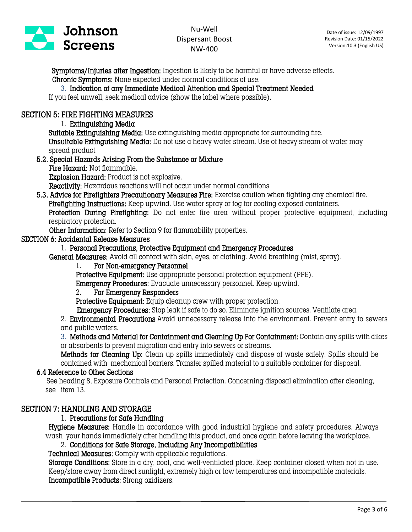

 Symptoms/Injuries after Ingestion: Ingestion is likely to be harmful or have adverse effects. Chronic Symptoms: None expected under normal conditions of use.

#### 3. Indication of any Immediate Medical Attention and Special Treatment Needed

If you feel unwell, seek medical advice (show the label where possible).

### SECTION 5: FIRE FIGHTING MEASURES

1. Extinguishing Media

Suitable Extinguishing Media: Use extinguishing media appropriate for surrounding fire.

Unsuitable Extinguishing Media: Do not use a heavy water stream. Use of heavy stream of water may spread product.

#### 5.2. Special Hazards Arising From the Substance or Mixture

Fire Hazard: Not flammable.

Explosion Hazard: Product is not explosive.

Reactivity: Hazardous reactions will not occur under normal conditions.

5.3. Advice for Firefighters Precautionary Measures Fire: Exercise caution when fighting any chemical fire. Firefighting Instructions: Keep upwind. Use water spray or fog for cooling exposed containers. Protection During Firefighting: Do not enter fire area without proper protective equipment, including respiratory protection.

Other Information: Refer to Section 9 for flammability properties.

#### SECTION 6: Accidental Release Measures

### 1. Personal Precautions, Protective Equipment and Emergency Procedures

General Measures: Avoid all contact with skin, eyes, or clothing. Avoid breathing (mist, spray).

#### 1. For Non-emergency Personnel

Protective Equipment: Use appropriate personal protection equipment (PPE).

Emergency Procedures: Evacuate unnecessary personnel. Keep upwind.

### 2. For Emergency Responders

Protective Equipment: Equip cleanup crew with proper protection.

Emergency Procedures: Stop leak if safe to do so. Eliminate ignition sources. Ventilate area.

2. **Environmental Precautions** Avoid unnecessary release into the environment. Prevent entry to sewers and public waters.

3. Methods and Material for Containment and Cleaning Up For Containment: Contain any spills with dikes or absorbents to prevent migration and entry into sewers or streams.

Methods for Cleaning Up: Clean up spills immediately and dispose of waste safely. Spills should be contained with mechanical barriers. Transfer spilled material to a suitable container for disposal.

#### 6.4 Reference to Other Sections

See heading 8, Exposure Controls and Personal Protection. Concerning disposal elimination after cleaning, see item 13.

#### SECTION 7: HANDLING AND STORAGE

#### 1. Precautions for Safe Handling

Hygiene Measures: Handle in accordance with good industrial hygiene and safety procedures. Always wash your hands immediately after handling this product, and once again before leaving the workplace.

#### 2. Conditions for Safe Storage, Including Any Incompatibilities

Technical Measures: Comply with applicable regulations.

Storage Conditions: Store in a dry, cool, and well-ventilated place. Keep container closed when not in use. Keep/store away from direct sunlight, extremely high or low temperatures and incompatible materials. Incompatible Products: Strong oxidizers.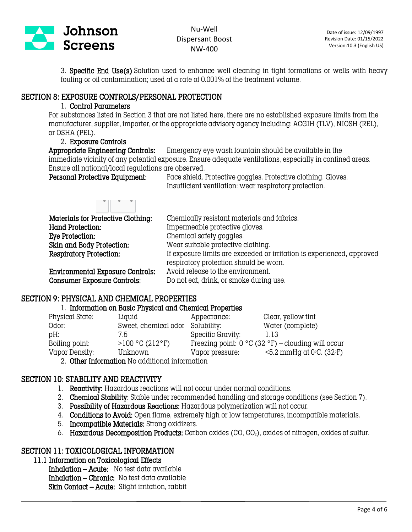

3. Specific End Use(s) Solution used to enhance well cleaning in tight formations or wells with heavy fouling or oil contamination; used at a rate of 0.001% of the treatment volume.

### SECTION 8: EXPOSURE CONTROLS/PERSONAL PROTECTION

#### 1. Control Parameters

For substances listed in Section 3 that are not listed here, there are no established exposure limits from the manufacturer, supplier, importer, or the appropriate advisory agency including: ACGIH (TLV), NIOSH (REL), or OSHA (PEL).

### 2. Exposure Controls

Appropriate Engineering Controls: Emergency eye wash fountain should be available in the immediate vicinity of any potential exposure. Ensure adequate ventilations, especially in confined areas. Ensure all national/local regulations are observed.

Personal Protective Equipment: Face shield. Protective goggles. Protective clothing. Gloves. Insufficient ventilation: wear respiratory protection.

| Materials for Protective Clothing:      | Chemically resistant materials and fabrics.                                                                      |
|-----------------------------------------|------------------------------------------------------------------------------------------------------------------|
| Hand Protection.                        | Impermeable protective gloves.                                                                                   |
| Eye Protection:                         | Chemical safety goggles.                                                                                         |
| Skin and Body Protection:               | Wear suitable protective clothing.                                                                               |
| Respiratory Protection:                 | If exposure limits are exceeded or irritation is experienced, approved<br>respiratory protection should be worn. |
| <b>Environmental Exposure Controls:</b> | Avoid release to the environment.                                                                                |
| <b>Consumer Exposure Controls:</b>      | Do not eat, drink, or smoke during use.                                                                          |

## SECTION 9: PHYSICAL AND CHEMICAL PROPERTIES

#### 1. Information on Basic Physical and Chemical Properties

| Physical State: | Liguid                                         | Appearance:       | Clear, yellow tint                                   |
|-----------------|------------------------------------------------|-------------------|------------------------------------------------------|
| Odor:           | Sweet, chemical odor Solubility:               |                   | Water (complete)                                     |
| pH:             | 7.5                                            | Specific Gravity: | 1.13                                                 |
| Boiling point:  | >100 °C (212 °F)                               |                   | Freezing point: $0 °C$ (32 °F) – clouding will occur |
| Vapor Density:  | Unknown                                        | Vapor pressure:   | $\leq$ 5.2 mmHg at 0 $\degree$ C. (32 $\degree$ F)   |
|                 | 2. Other Information Ne additional information |                   |                                                      |

2. Other Information No additional information

## SECTION 10: STABILITY AND REACTIVITY

- 1. Reactivity: Hazardous reactions will not occur under normal conditions.
- 2. Chemical Stability: Stable under recommended handling and storage conditions (see Section 7).
- 3. Possibility of Hazardous Reactions: Hazardous polymerization will not occur.
- 4. Conditions to Avoid: Open flame, extremely high or low temperatures, incompatible materials.
- 5. Incompatible Materials: Strong oxidizers.
- 6. Hazardous Decomposition Products: Carbon oxides  $(CO, CO<sub>2</sub>)$ , oxides of nitrogen, oxides of sulfur.

## SECTION 11: TOXICOLOGICAL INFORMATION

11.1 Information on Toxicological Effects

Inhalation – Acute: No test data available Inhalation – Chronic: No test data available Skin Contact – Acute: Slight irritation, rabbit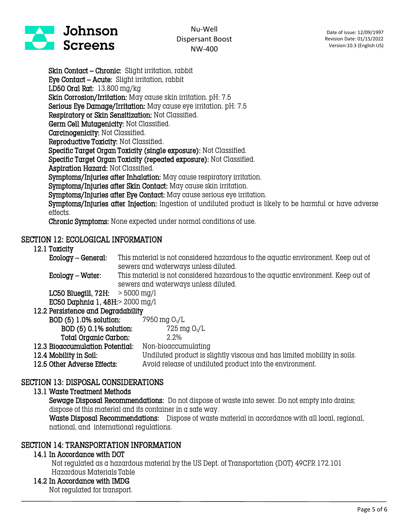

Skin Contact – Chronic: Slight irritation, rabbit Eye Contact – Acute: Slight irritation, rabbit LD50 Oral Rat: 13,800 mg/kg Skin Corrosion/Irritation: May cause skin irritation. pH: 7.5 Serious Eye Damage/Irritation: May cause eye irritation. pH: 7.5 Respiratory or Skin Sensitization: Not Classified. Germ Cell Mutagenicity: Not Classified. Carcinogenicity: Not Classified. Reproductive Toxicity: Not Classified. Specific Target Organ Toxicity (single exposure): Not Classified. Specific Target Organ Toxicity (repeated exposure): Not Classified. Aspiration Hazard: Not Classified. Symptoms/Injuries after Inhalation: May cause respiratory irritation. Symptoms/Injuries after Skin Contact: May cause skin irritation. Symptoms/Injuries after Eye Contact: May cause serious eye irritation. Symptoms/Injuries after Injection: Ingestion of undiluted product is likely to be harmful or have adverse effects. Chronic Symptoms: None expected under normal conditions of use.

## SECTION 12: ECOLOGICAL INFORMATION

#### 12.1 Toxicity

Ecology – General: This material is not considered hazardous to the aquatic environment. Keep out of sewers and waterways unless diluted.

Ecology – Water: This material is not considered hazardous to the aquatic environment. Keep out of sewers and waterways unless diluted.

LC50 Bluegill,  $72H: > 5000$  mg/l EC50 Daphnia 1, 48H:> 2000 mg/l

| 12.2 Persistence and Degradability |                                                                          |
|------------------------------------|--------------------------------------------------------------------------|
| BOD (5) 1.0% solution:             | 7950 mg 02/L                                                             |
| BOD (5) 0.1% solution:             | 725 mg $O_2/L$                                                           |
| Total Organic Carbon:              | $2.2\%$                                                                  |
| 12.3 Bioaccumulation Potential:    | Non-bioaccumulating                                                      |
| 12.4 Mobility in Soil:             | Undiluted product is slightly viscous and has limited mobility in soils. |
| 12.5 Other Adverse Effects:        | Avoid release of undiluted product into the environment.                 |

## SECTION 13: DISPOSAL CONSIDERATIONS

#### 13.1 Waste Treatment Methods

Sewage Disposal Recommendations: Do not dispose of waste into sewer. Do not empty into drains; dispose of this material and its container in a safe way.

Waste Disposal Recommendations: Dispose of waste material in accordance with all local, regional, national, and international regulations.

## SECTION 14: TRANSPORTATION INFORMATION

#### 14.1 In Accordance with DOT

Not regulated as a hazardous material by the US Dept. of Transportation (DOT) 49CFR 172.101 Hazardous Materials Table

### 14.2 In Accordance with IMDG

Not regulated for transport.